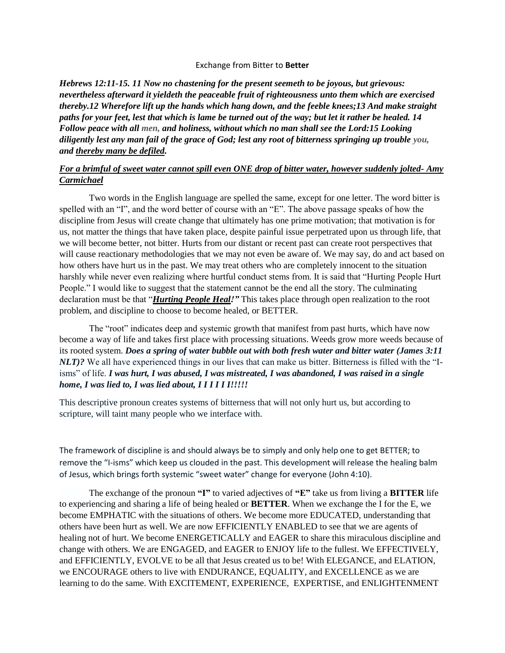## Exchange from Bitter to **Better**

*Hebrews 12:11-15. 11 Now no chastening for the present seemeth to be joyous, but grievous: nevertheless afterward it yieldeth the peaceable fruit of righteousness unto them which are exercised thereby.12 Wherefore lift up the hands which hang down, and the feeble knees;13 And make straight paths for your feet, lest that which is lame be turned out of the way; but let it rather be healed. 14 Follow peace with all men, and holiness, without which no man shall see the Lord:15 Looking diligently lest any man fail of the grace of God; lest any root of bitterness springing up trouble you, and thereby many be defiled.*

## *For a brimful of sweet water cannot spill even ONE drop of bitter water, however suddenly jolted- Amy Carmichael*

 Two words in the English language are spelled the same, except for one letter. The word bitter is spelled with an "I", and the word better of course with an "E". The above passage speaks of how the discipline from Jesus will create change that ultimately has one prime motivation; that motivation is for us, not matter the things that have taken place, despite painful issue perpetrated upon us through life, that we will become better, not bitter. Hurts from our distant or recent past can create root perspectives that will cause reactionary methodologies that we may not even be aware of. We may say, do and act based on how others have hurt us in the past. We may treat others who are completely innocent to the situation harshly while never even realizing where hurtful conduct stems from. It is said that "Hurting People Hurt People." I would like to suggest that the statement cannot be the end all the story. The culminating declaration must be that "*Hurting People Heal!"* This takes place through open realization to the root problem, and discipline to choose to become healed, or BETTER.

 The "root" indicates deep and systemic growth that manifest from past hurts, which have now become a way of life and takes first place with processing situations. Weeds grow more weeds because of its rooted system. *Does a spring of water bubble out with both fresh water and bitter water (James 3:11 NLT)?* We all have experienced things in our lives that can make us bitter. Bitterness is filled with the "Iisms" of life. *I was hurt, I was abused, I was mistreated, I was abandoned, I was raised in a single home, I was lied to, I was lied about, I I I I I I!!!!!*

This descriptive pronoun creates systems of bitterness that will not only hurt us, but according to scripture, will taint many people who we interface with.

The framework of discipline is and should always be to simply and only help one to get BETTER; to remove the "I-isms" which keep us clouded in the past. This development will release the healing balm of Jesus, which brings forth systemic "sweet water" change for everyone (John 4:10).

 The exchange of the pronoun **"I"** to varied adjectives of **"E"** take us from living a **BITTER** life to experiencing and sharing a life of being healed or **BETTER**. When we exchange the I for the E, we become EMPHATIC with the situations of others. We become more EDUCATED, understanding that others have been hurt as well. We are now EFFICIENTLY ENABLED to see that we are agents of healing not of hurt. We become ENERGETICALLY and EAGER to share this miraculous discipline and change with others. We are ENGAGED, and EAGER to ENJOY life to the fullest. We EFFECTIVELY, and EFFICIENTLY, EVOLVE to be all that Jesus created us to be! With ELEGANCE, and ELATION, we ENCOURAGE others to live with ENDURANCE, EQUALITY, and EXCELLENCE as we are learning to do the same. With EXCITEMENT, EXPERIENCE, EXPERTISE, and ENLIGHTENMENT